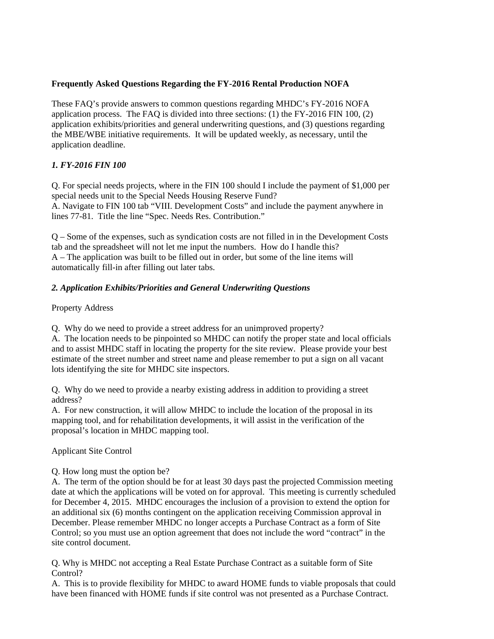# **Frequently Asked Questions Regarding the FY-2016 Rental Production NOFA**

These FAQ's provide answers to common questions regarding MHDC's FY-2016 NOFA application process. The FAQ is divided into three sections: (1) the FY-2016 FIN 100, (2) application exhibits/priorities and general underwriting questions, and (3) questions regarding the MBE/WBE initiative requirements. It will be updated weekly, as necessary, until the application deadline.

# *1. FY-2016 FIN 100*

Q. For special needs projects, where in the FIN 100 should I include the payment of \$1,000 per special needs unit to the Special Needs Housing Reserve Fund? A. Navigate to FIN 100 tab "VIII. Development Costs" and include the payment anywhere in lines 77-81. Title the line "Spec. Needs Res. Contribution."

Q – Some of the expenses, such as syndication costs are not filled in in the Development Costs tab and the spreadsheet will not let me input the numbers. How do I handle this? A – The application was built to be filled out in order, but some of the line items will automatically fill-in after filling out later tabs.

# *2. Application Exhibits/Priorities and General Underwriting Questions*

Property Address

Q. Why do we need to provide a street address for an unimproved property?

A. The location needs to be pinpointed so MHDC can notify the proper state and local officials and to assist MHDC staff in locating the property for the site review. Please provide your best estimate of the street number and street name and please remember to put a sign on all vacant lots identifying the site for MHDC site inspectors.

Q. Why do we need to provide a nearby existing address in addition to providing a street address?

A. For new construction, it will allow MHDC to include the location of the proposal in its mapping tool, and for rehabilitation developments, it will assist in the verification of the proposal's location in MHDC mapping tool.

Applicant Site Control

## Q. How long must the option be?

A. The term of the option should be for at least 30 days past the projected Commission meeting date at which the applications will be voted on for approval. This meeting is currently scheduled for December 4, 2015. MHDC encourages the inclusion of a provision to extend the option for an additional six (6) months contingent on the application receiving Commission approval in December. Please remember MHDC no longer accepts a Purchase Contract as a form of Site Control; so you must use an option agreement that does not include the word "contract" in the site control document.

Q. Why is MHDC not accepting a Real Estate Purchase Contract as a suitable form of Site Control?

A. This is to provide flexibility for MHDC to award HOME funds to viable proposals that could have been financed with HOME funds if site control was not presented as a Purchase Contract.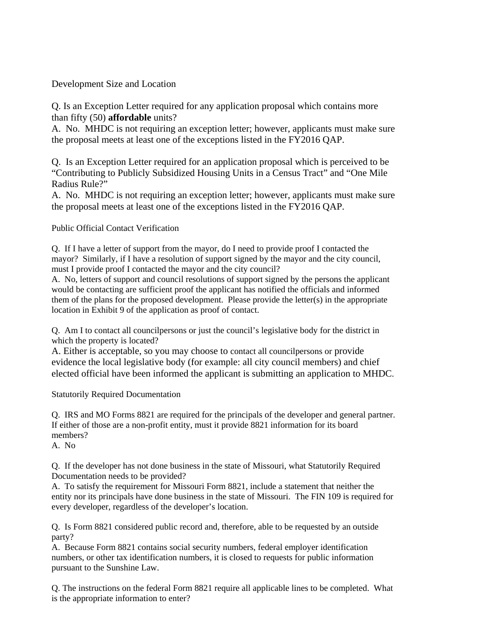Development Size and Location

Q. Is an Exception Letter required for any application proposal which contains more than fifty (50) **affordable** units?

A. No. MHDC is not requiring an exception letter; however, applicants must make sure the proposal meets at least one of the exceptions listed in the FY2016 QAP.

Q. Is an Exception Letter required for an application proposal which is perceived to be "Contributing to Publicly Subsidized Housing Units in a Census Tract" and "One Mile Radius Rule?"

A. No. MHDC is not requiring an exception letter; however, applicants must make sure the proposal meets at least one of the exceptions listed in the FY2016 QAP.

Public Official Contact Verification

Q. If I have a letter of support from the mayor, do I need to provide proof I contacted the mayor? Similarly, if I have a resolution of support signed by the mayor and the city council, must I provide proof I contacted the mayor and the city council?

A. No, letters of support and council resolutions of support signed by the persons the applicant would be contacting are sufficient proof the applicant has notified the officials and informed them of the plans for the proposed development. Please provide the letter(s) in the appropriate location in Exhibit 9 of the application as proof of contact.

Q. Am I to contact all councilpersons or just the council's legislative body for the district in which the property is located?

A. Either is acceptable, so you may choose to contact all councilpersons or provide evidence the local legislative body (for example: all city council members) and chief elected official have been informed the applicant is submitting an application to MHDC.

Statutorily Required Documentation

Q. IRS and MO Forms 8821 are required for the principals of the developer and general partner. If either of those are a non-profit entity, must it provide 8821 information for its board members?

A. No

Q. If the developer has not done business in the state of Missouri, what Statutorily Required Documentation needs to be provided?

A. To satisfy the requirement for Missouri Form 8821, include a statement that neither the entity nor its principals have done business in the state of Missouri. The FIN 109 is required for every developer, regardless of the developer's location.

Q. Is Form 8821 considered public record and, therefore, able to be requested by an outside party?

A. Because Form 8821 contains social security numbers, federal employer identification numbers, or other tax identification numbers, it is closed to requests for public information pursuant to the Sunshine Law.

Q. The instructions on the federal Form 8821 require all applicable lines to be completed. What is the appropriate information to enter?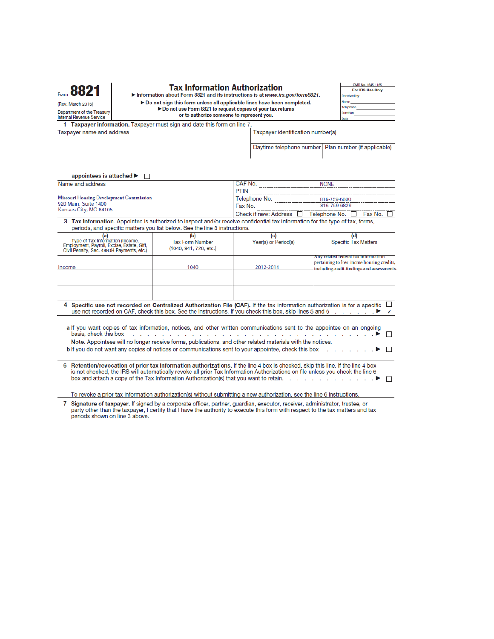

Taxpayer name and address

**Tax Information Authorization**<br>• Information about Form 8821 and its instructions is at www.irs.gov/form8821. ▶ Do not sign this form unless all applicable lines have been completed.

|  | ▶ Do not use Form 8821 to request copies of your tax returns |  |
|--|--------------------------------------------------------------|--|
|  | or to authorize someone to represent you.                    |  |

| OMB No. 1545-1165 |  |  |  |  |
|-------------------|--|--|--|--|
| For IRS Use Only  |  |  |  |  |
| leceived by:      |  |  |  |  |
| vame              |  |  |  |  |
| elephone          |  |  |  |  |

Department of the Treasury<br>Internal Revenue Service 1 Taxpayer information. Taxpayer must sign and date this form on line 7.

Taxpayer identification number(s)

Daytime telephone number Plan number (if applicable)

| appointees is attached ▶                                                                                                                                                                                                                                                                                                                                                                   |                                                  |                                                                   |                                                                                      |  |
|--------------------------------------------------------------------------------------------------------------------------------------------------------------------------------------------------------------------------------------------------------------------------------------------------------------------------------------------------------------------------------------------|--------------------------------------------------|-------------------------------------------------------------------|--------------------------------------------------------------------------------------|--|
| Name and address                                                                                                                                                                                                                                                                                                                                                                           |                                                  | CAF No.<br><b>NONE</b>                                            |                                                                                      |  |
|                                                                                                                                                                                                                                                                                                                                                                                            |                                                  | <b>PTIN</b>                                                       |                                                                                      |  |
| <b>Missouri Housing Development Commission</b>                                                                                                                                                                                                                                                                                                                                             |                                                  | Telephone No.<br>816-759-6600                                     |                                                                                      |  |
| 920 Main, Suite 1400<br>Kansas City, MO 64105                                                                                                                                                                                                                                                                                                                                              |                                                  | 816-759-6829<br>Fax No.                                           |                                                                                      |  |
|                                                                                                                                                                                                                                                                                                                                                                                            |                                                  | Check if new: Address $\Box$<br>Telephone No. D<br>Fax No. $\Box$ |                                                                                      |  |
| 3 Tax Information. Appointee is authorized to inspect and/or receive confidential tax information for the type of tax, forms,<br>periods, and specific matters you list below. See the line 3 instructions.                                                                                                                                                                                |                                                  |                                                                   |                                                                                      |  |
| (a)                                                                                                                                                                                                                                                                                                                                                                                        | (b)                                              | (c)                                                               | (d)                                                                                  |  |
| Type of Tax Information (Income,<br>Employment, Payroll, Excise, Estate, Gift,<br>Civil Penalty, Sec. 4980H Payments, etc.)                                                                                                                                                                                                                                                                | <b>Tax Form Number</b><br>(1040, 941, 720, etc.) | Year(s) or Period(s)                                              | <b>Specific Tax Matters</b>                                                          |  |
|                                                                                                                                                                                                                                                                                                                                                                                            |                                                  |                                                                   | Any related federal tax information                                                  |  |
| Income                                                                                                                                                                                                                                                                                                                                                                                     | 1040                                             | 2012-2014                                                         | pertaining to low-incme housing credits,<br>including audit findings and assessments |  |
|                                                                                                                                                                                                                                                                                                                                                                                            |                                                  |                                                                   |                                                                                      |  |
|                                                                                                                                                                                                                                                                                                                                                                                            |                                                  |                                                                   |                                                                                      |  |
| Specific use not recorded on Centralized Authorization File (CAF). If the tax information authorization is for a specific<br>4<br>use not recorded on CAF, check this box. See the instructions. If you check this box, skip lines 5 and 6                                                                                                                                                 |                                                  |                                                                   |                                                                                      |  |
| a If you want copies of tax information, notices, and other written communications sent to the appointee on an ongoing<br>basis, check this box<br>Note. Appointees will no longer receive forms, publications, and other related materials with the notices.<br>b If you do not want any copies of notices or communications sent to your appointee, check this box                       |                                                  |                                                                   | ▶ □                                                                                  |  |
| 6 Retention/revocation of prior tax information authorizations. If the line 4 box is checked, skip this line. If the line 4 box<br>is not checked, the IRS will automatically revoke all prior Tax Information Authorizations on file unless you check the line 6<br>box and attach a copy of the Tax Information Authorization(s) that you want to retain. $\ldots$ , $\ldots$ , $\ldots$ |                                                  |                                                                   |                                                                                      |  |
| To revoke a prior tax information authorization(s) without submitting a new authorization, see the line 6 instructions.                                                                                                                                                                                                                                                                    |                                                  |                                                                   |                                                                                      |  |
| 7 Signature of taxpayer. If signed by a corporate officer, partner, quardian, executor, receiver, administrator, trustee, or                                                                                                                                                                                                                                                               |                                                  |                                                                   |                                                                                      |  |

Organism of the axpayer. It signed by a corporate childer, partier, guardian, executor, receiver, administrator, trustee, or party other than the taxpayer, I certify that I have the authority to execute this form with resp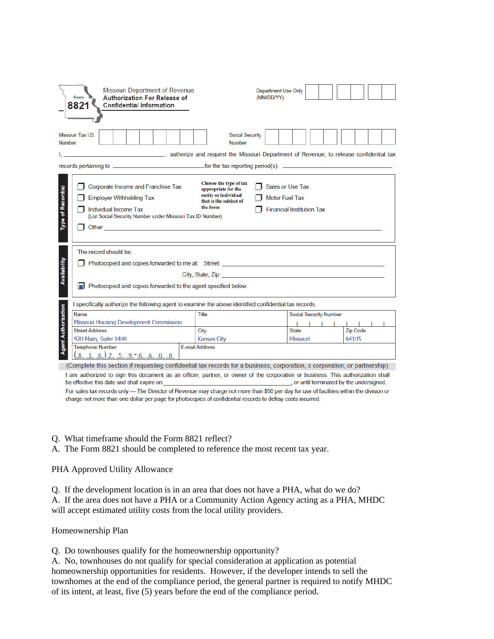| Missouri Department of Revenue<br><b>Authorization For Release of</b><br>Form<br>8821<br><b>Confidential Information</b>                                                                 | <b>Department Use Only</b><br>(MM/DD/YY)                                                                                             |                                                      |          |  |  |  |  |  |  |
|------------------------------------------------------------------------------------------------------------------------------------------------------------------------------------------|--------------------------------------------------------------------------------------------------------------------------------------|------------------------------------------------------|----------|--|--|--|--|--|--|
| Missouri Tax I.D.<br>Number                                                                                                                                                              | <b>Social Security</b><br><b>Number</b>                                                                                              |                                                      |          |  |  |  |  |  |  |
| authorize and request the Missouri Department of Revenue, to release confidential tax                                                                                                    |                                                                                                                                      |                                                      |          |  |  |  |  |  |  |
|                                                                                                                                                                                          |                                                                                                                                      |                                                      |          |  |  |  |  |  |  |
| Corporate Income and Franchise Tax<br>Type of Record(s)<br><b>Employer Withholding Tax</b><br><b>Individual Income Tax</b><br>(List Social Security Number under Missouri Tax ID Number) | Choose the type of tax<br>appropriate for the<br>entity or individual<br><b>Motor Fuel Tax</b><br>that is the subject of<br>the form | Sales or Use Tax<br><b>Financial Institution Tax</b> |          |  |  |  |  |  |  |
| The record should be:<br>Availability<br>Photocopied and copies forwarded to the agent specified below.                                                                                  | City, State, Zip: The Contract of the City, State of The City, State of The City, State of The City                                  |                                                      |          |  |  |  |  |  |  |
| I specifically authorize the following agent to examine the above identified confidential tax records.                                                                                   |                                                                                                                                      |                                                      |          |  |  |  |  |  |  |
| gent Authorization<br><b>Name</b><br>Missouri Housing Development Commission                                                                                                             | Title                                                                                                                                | <b>Social Security Number</b>                        |          |  |  |  |  |  |  |
| <b>Street Address</b>                                                                                                                                                                    | City                                                                                                                                 | <b>State</b>                                         | Zip Code |  |  |  |  |  |  |
| 920 Main, Suite 1400<br><b>Telephone Number</b>                                                                                                                                          | <b>Kansas City</b>                                                                                                                   | Missouri                                             | 64105    |  |  |  |  |  |  |
| E-mail Address<br>$1$ 6 7 5 9 6 6 0 0                                                                                                                                                    |                                                                                                                                      |                                                      |          |  |  |  |  |  |  |
| this soction if requesting confidential toy reserve for a business, compretion, a compretion, or northeredoin)                                                                           |                                                                                                                                      |                                                      |          |  |  |  |  |  |  |

(Complete this section if requesting confidential tax records for a business, corporation, s corporation, or partnership) I am authorized to sign this document as an officer, partner, or owner of the corporation or business. This authorization shall \_, or until terminated by the undersigned. be effective this date and shall expire on \_

For sales tax records only - The Director of Revenue may charge not more than \$50 per day for use of facilities within the division or charge not more than one dollar per page for photocopies of confidential records to defray costs incurred.

Q. What timeframe should the Form 8821 reflect?

A. The Form 8821 should be completed to reference the most recent tax year.

### PHA Approved Utility Allowance

Q. If the development location is in an area that does not have a PHA, what do we do? A. If the area does not have a PHA or a Community Action Agency acting as a PHA, MHDC will accept estimated utility costs from the local utility providers.

### Homeownership Plan

Q. Do townhouses qualify for the homeownership opportunity?

A. No, townhouses do not qualify for special consideration at application as potential homeownership opportunities for residents. However, if the developer intends to sell the townhomes at the end of the compliance period, the general partner is required to notify MHDC of its intent, at least, five (5) years before the end of the compliance period.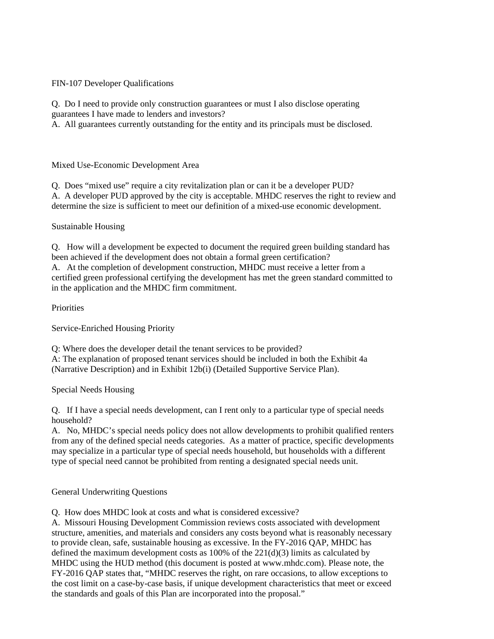FIN-107 Developer Qualifications

Q. Do I need to provide only construction guarantees or must I also disclose operating guarantees I have made to lenders and investors?

A. All guarantees currently outstanding for the entity and its principals must be disclosed.

Mixed Use-Economic Development Area

Q. Does "mixed use" require a city revitalization plan or can it be a developer PUD? A. A developer PUD approved by the city is acceptable. MHDC reserves the right to review and determine the size is sufficient to meet our definition of a mixed-use economic development.

Sustainable Housing

Q. How will a development be expected to document the required green building standard has been achieved if the development does not obtain a formal green certification? A. At the completion of development construction, MHDC must receive a letter from a certified green professional certifying the development has met the green standard committed to in the application and the MHDC firm commitment.

**Priorities** 

Service-Enriched Housing Priority

Q: Where does the developer detail the tenant services to be provided? A: The explanation of proposed tenant services should be included in both the Exhibit 4a (Narrative Description) and in Exhibit 12b(i) (Detailed Supportive Service Plan).

Special Needs Housing

Q. If I have a special needs development, can I rent only to a particular type of special needs household?

A. No, MHDC's special needs policy does not allow developments to prohibit qualified renters from any of the defined special needs categories. As a matter of practice, specific developments may specialize in a particular type of special needs household, but households with a different type of special need cannot be prohibited from renting a designated special needs unit.

General Underwriting Questions

Q. How does MHDC look at costs and what is considered excessive?

A. Missouri Housing Development Commission reviews costs associated with development structure, amenities, and materials and considers any costs beyond what is reasonably necessary to provide clean, safe, sustainable housing as excessive. In the FY-2016 QAP, MHDC has defined the maximum development costs as  $100\%$  of the  $221(d)(3)$  limits as calculated by MHDC using the HUD method (this document is posted at www.mhdc.com). Please note, the FY-2016 QAP states that, "MHDC reserves the right, on rare occasions, to allow exceptions to the cost limit on a case-by-case basis, if unique development characteristics that meet or exceed the standards and goals of this Plan are incorporated into the proposal."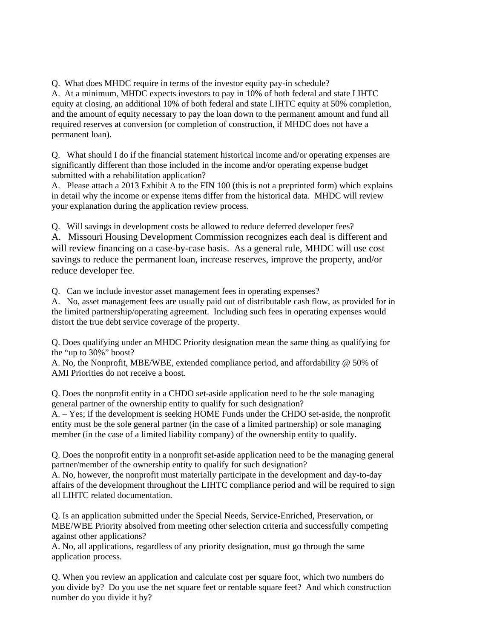Q. What does MHDC require in terms of the investor equity pay-in schedule? A. At a minimum, MHDC expects investors to pay in 10% of both federal and state LIHTC equity at closing, an additional 10% of both federal and state LIHTC equity at 50% completion, and the amount of equity necessary to pay the loan down to the permanent amount and fund all required reserves at conversion (or completion of construction, if MHDC does not have a permanent loan).

Q. What should I do if the financial statement historical income and/or operating expenses are significantly different than those included in the income and/or operating expense budget submitted with a rehabilitation application?

A. Please attach a 2013 Exhibit A to the FIN 100 (this is not a preprinted form) which explains in detail why the income or expense items differ from the historical data. MHDC will review your explanation during the application review process.

Q. Will savings in development costs be allowed to reduce deferred developer fees?

A. Missouri Housing Development Commission recognizes each deal is different and will review financing on a case-by-case basis. As a general rule, MHDC will use cost savings to reduce the permanent loan, increase reserves, improve the property, and/or reduce developer fee.

Q. Can we include investor asset management fees in operating expenses?

A. No, asset management fees are usually paid out of distributable cash flow, as provided for in the limited partnership/operating agreement. Including such fees in operating expenses would distort the true debt service coverage of the property.

Q. Does qualifying under an MHDC Priority designation mean the same thing as qualifying for the "up to 30%" boost?

A. No, the Nonprofit, MBE/WBE, extended compliance period, and affordability @ 50% of AMI Priorities do not receive a boost.

Q. Does the nonprofit entity in a CHDO set-aside application need to be the sole managing general partner of the ownership entity to qualify for such designation?

A. – Yes; if the development is seeking HOME Funds under the CHDO set-aside, the nonprofit entity must be the sole general partner (in the case of a limited partnership) or sole managing member (in the case of a limited liability company) of the ownership entity to qualify.

Q. Does the nonprofit entity in a nonprofit set-aside application need to be the managing general partner/member of the ownership entity to qualify for such designation?

A. No, however, the nonprofit must materially participate in the development and day-to-day affairs of the development throughout the LIHTC compliance period and will be required to sign all LIHTC related documentation.

Q. Is an application submitted under the Special Needs, Service-Enriched, Preservation, or MBE/WBE Priority absolved from meeting other selection criteria and successfully competing against other applications?

A. No, all applications, regardless of any priority designation, must go through the same application process.

Q. When you review an application and calculate cost per square foot, which two numbers do you divide by? Do you use the net square feet or rentable square feet? And which construction number do you divide it by?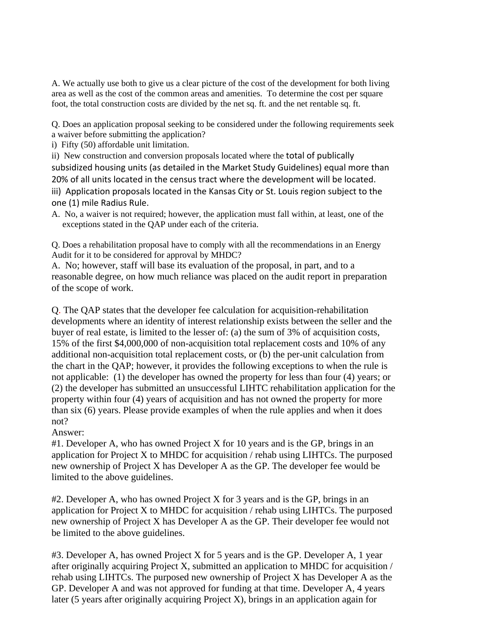A. We actually use both to give us a clear picture of the cost of the development for both living area as well as the cost of the common areas and amenities. To determine the cost per square foot, the total construction costs are divided by the net sq. ft. and the net rentable sq. ft.

Q. Does an application proposal seeking to be considered under the following requirements seek a waiver before submitting the application?

i) Fifty (50) affordable unit limitation.

ii) New construction and conversion proposals located where the total of publically subsidized housing units (as detailed in the Market Study Guidelines) equal more than 20% of all units located in the census tract where the development will be located. iii) Application proposals located in the Kansas City or St. Louis region subject to the one (1) mile Radius Rule.

A. No, a waiver is not required; however, the application must fall within, at least, one of the exceptions stated in the QAP under each of the criteria.

Q. Does a rehabilitation proposal have to comply with all the recommendations in an Energy Audit for it to be considered for approval by MHDC?

A. No; however, staff will base its evaluation of the proposal, in part, and to a reasonable degree, on how much reliance was placed on the audit report in preparation of the scope of work.

Q. The QAP states that the developer fee calculation for acquisition-rehabilitation developments where an identity of interest relationship exists between the seller and the buyer of real estate, is limited to the lesser of: (a) the sum of 3% of acquisition costs, 15% of the first \$4,000,000 of non-acquisition total replacement costs and 10% of any additional non-acquisition total replacement costs, or (b) the per-unit calculation from the chart in the QAP; however, it provides the following exceptions to when the rule is not applicable: (1) the developer has owned the property for less than four (4) years; or (2) the developer has submitted an unsuccessful LIHTC rehabilitation application for the property within four (4) years of acquisition and has not owned the property for more than six (6) years. Please provide examples of when the rule applies and when it does not?

Answer:

#1. Developer A, who has owned Project X for 10 years and is the GP, brings in an application for Project X to MHDC for acquisition / rehab using LIHTCs. The purposed new ownership of Project X has Developer A as the GP. The developer fee would be limited to the above guidelines.

#2. Developer A, who has owned Project X for 3 years and is the GP, brings in an application for Project X to MHDC for acquisition / rehab using LIHTCs. The purposed new ownership of Project X has Developer A as the GP. Their developer fee would not be limited to the above guidelines.

#3. Developer A, has owned Project X for 5 years and is the GP. Developer A, 1 year after originally acquiring Project X, submitted an application to MHDC for acquisition / rehab using LIHTCs. The purposed new ownership of Project X has Developer A as the GP. Developer A and was not approved for funding at that time. Developer A, 4 years later (5 years after originally acquiring Project X), brings in an application again for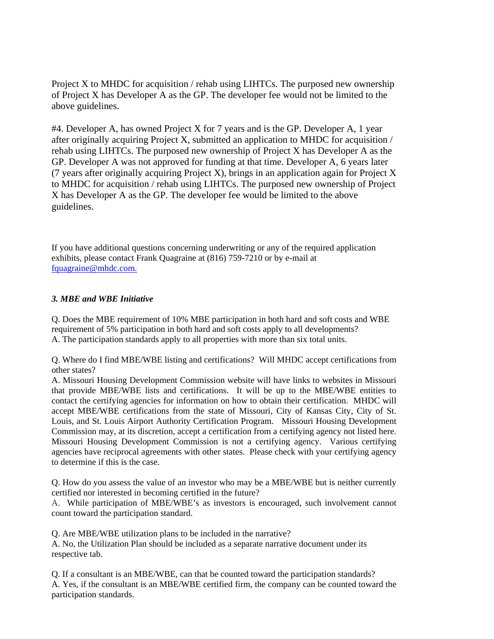Project X to MHDC for acquisition / rehab using LIHTCs. The purposed new ownership of Project X has Developer A as the GP. The developer fee would not be limited to the above guidelines.

#4. Developer A, has owned Project X for 7 years and is the GP. Developer A, 1 year after originally acquiring Project X, submitted an application to MHDC for acquisition / rehab using LIHTCs. The purposed new ownership of Project X has Developer A as the GP. Developer A was not approved for funding at that time. Developer A, 6 years later (7 years after originally acquiring Project X), brings in an application again for Project X to MHDC for acquisition / rehab using LIHTCs. The purposed new ownership of Project X has Developer A as the GP. The developer fee would be limited to the above guidelines.

If you have additional questions concerning underwriting or any of the required application exhibits, please contact Frank Quagraine at (816) 759-7210 or by e-mail at fquagraine@mhdc.com.

# *3. MBE and WBE Initiative*

Q. Does the MBE requirement of 10% MBE participation in both hard and soft costs and WBE requirement of 5% participation in both hard and soft costs apply to all developments? A. The participation standards apply to all properties with more than six total units.

Q. Where do I find MBE/WBE listing and certifications? Will MHDC accept certifications from other states?

A. Missouri Housing Development Commission website will have links to websites in Missouri that provide MBE/WBE lists and certifications. It will be up to the MBE/WBE entities to contact the certifying agencies for information on how to obtain their certification. MHDC will accept MBE/WBE certifications from the state of Missouri, City of Kansas City, City of St. Louis, and St. Louis Airport Authority Certification Program. Missouri Housing Development Commission may, at its discretion, accept a certification from a certifying agency not listed here. Missouri Housing Development Commission is not a certifying agency. Various certifying agencies have reciprocal agreements with other states. Please check with your certifying agency to determine if this is the case.

Q. How do you assess the value of an investor who may be a MBE/WBE but is neither currently certified nor interested in becoming certified in the future?

A. While participation of MBE/WBE's as investors is encouraged, such involvement cannot count toward the participation standard.

Q. Are MBE/WBE utilization plans to be included in the narrative?

A. No, the Utilization Plan should be included as a separate narrative document under its respective tab.

Q. If a consultant is an MBE/WBE, can that be counted toward the participation standards? A. Yes, if the consultant is an MBE/WBE certified firm, the company can be counted toward the participation standards.